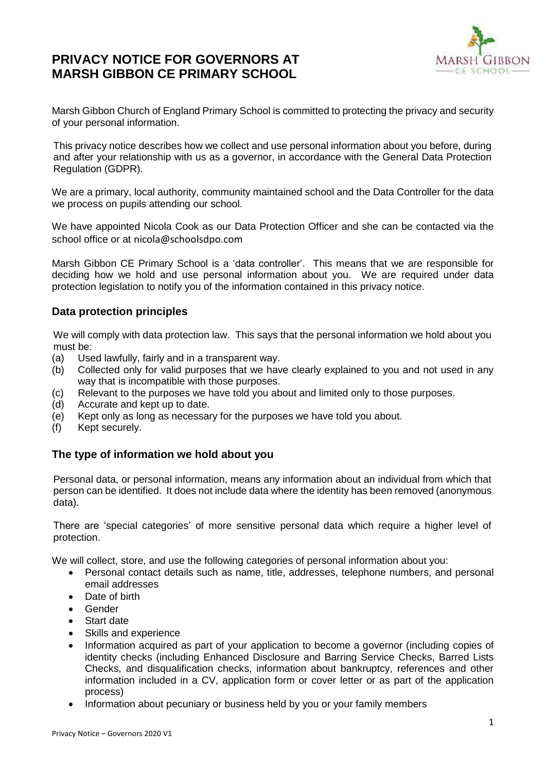# **PRIVACY NOTICE FOR GOVERNORS AT MARSH GIBBON CE PRIMARY SCHOOL**



Marsh Gibbon Church of England Primary School is committed to protecting the privacy and security of your personal information.

This privacy notice describes how we collect and use personal information about you before, during and after your relationship with us as a governor, in accordance with the General Data Protection Regulation (GDPR).

We are a primary, local authority, community maintained school and the Data Controller for the data we process on pupils attending our school.

We have appointed Nicola Cook as our Data Protection Officer and she can be contacted via the school office or at nicola@schoolsdpo.com

Marsh Gibbon CE Primary School is a 'data controller'. This means that we are responsible for deciding how we hold and use personal information about you. We are required under data protection legislation to notify you of the information contained in this privacy notice.

# **Data protection principles**

We will comply with data protection law. This says that the personal information we hold about you must be:

- (a) Used lawfully, fairly and in a transparent way.
- (b) Collected only for valid purposes that we have clearly explained to you and not used in any way that is incompatible with those purposes.
- (c) Relevant to the purposes we have told you about and limited only to those purposes.
- (d) Accurate and kept up to date.
- (e) Kept only as long as necessary for the purposes we have told you about.
- (f) Kept securely.

# **The type of information we hold about you**

Personal data, or personal information, means any information about an individual from which that person can be identified. It does not include data where the identity has been removed (anonymous data).

There are 'special categories' of more sensitive personal data which require a higher level of protection.

We will collect, store, and use the following categories of personal information about you:

- Personal contact details such as name, title, addresses, telephone numbers, and personal email addresses
- Date of birth
- Gender
- Start date
- Skills and experience
- Information acquired as part of your application to become a governor (including copies of identity checks (including Enhanced Disclosure and Barring Service Checks, Barred Lists Checks, and disqualification checks, information about bankruptcy, references and other information included in a CV, application form or cover letter or as part of the application process)
- Information about pecuniary or business held by you or your family members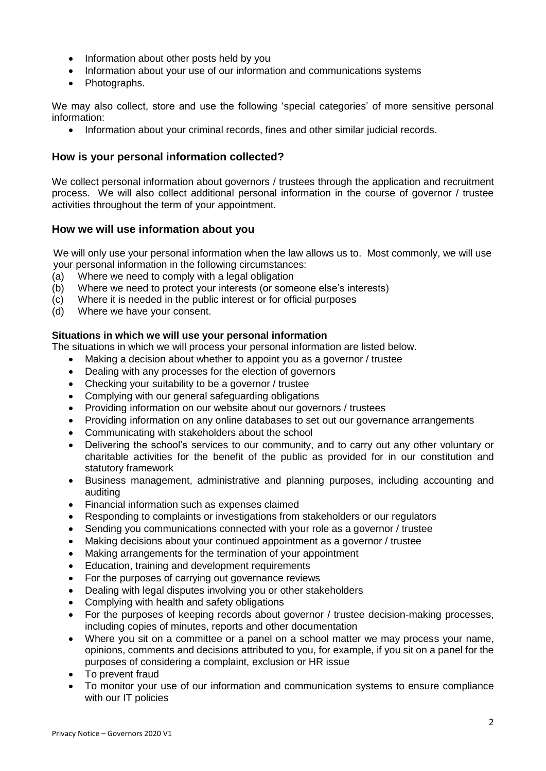- Information about other posts held by you
- Information about your use of our information and communications systems
- Photographs.

We may also collect, store and use the following 'special categories' of more sensitive personal information:

• Information about your criminal records, fines and other similar judicial records.

## **How is your personal information collected?**

We collect personal information about governors / trustees through the application and recruitment process. We will also collect additional personal information in the course of governor / trustee activities throughout the term of your appointment.

## **How we will use information about you**

We will only use your personal information when the law allows us to. Most commonly, we will use your personal information in the following circumstances:

- (a) Where we need to comply with a legal obligation
- (b) Where we need to protect your interests (or someone else's interests)
- (c) Where it is needed in the public interest or for official purposes
- (d) Where we have your consent.

#### **Situations in which we will use your personal information**

The situations in which we will process your personal information are listed below.

- Making a decision about whether to appoint you as a governor / trustee
- Dealing with any processes for the election of governors
- Checking your suitability to be a governor / trustee
- Complying with our general safeguarding obligations
- Providing information on our website about our governors / trustees
- Providing information on any online databases to set out our governance arrangements
- Communicating with stakeholders about the school
- Delivering the school's services to our community, and to carry out any other voluntary or charitable activities for the benefit of the public as provided for in our constitution and statutory framework
- Business management, administrative and planning purposes, including accounting and auditing
- Financial information such as expenses claimed
- Responding to complaints or investigations from stakeholders or our regulators
- Sending you communications connected with your role as a governor / trustee
- Making decisions about your continued appointment as a governor / trustee
- Making arrangements for the termination of your appointment
- Education, training and development requirements
- For the purposes of carrying out governance reviews
- Dealing with legal disputes involving you or other stakeholders
- Complying with health and safety obligations
- For the purposes of keeping records about governor / trustee decision-making processes, including copies of minutes, reports and other documentation
- Where you sit on a committee or a panel on a school matter we may process your name, opinions, comments and decisions attributed to you, for example, if you sit on a panel for the purposes of considering a complaint, exclusion or HR issue
- To prevent fraud
- To monitor your use of our information and communication systems to ensure compliance with our IT policies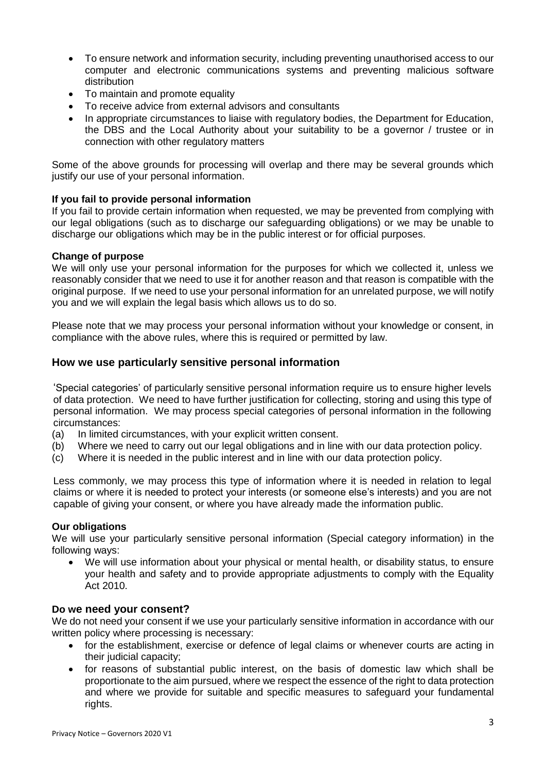- To ensure network and information security, including preventing unauthorised access to our computer and electronic communications systems and preventing malicious software distribution
- To maintain and promote equality
- To receive advice from external advisors and consultants
- In appropriate circumstances to liaise with regulatory bodies, the Department for Education, the DBS and the Local Authority about your suitability to be a governor / trustee or in connection with other regulatory matters

Some of the above grounds for processing will overlap and there may be several grounds which justify our use of your personal information.

## **If you fail to provide personal information**

If you fail to provide certain information when requested, we may be prevented from complying with our legal obligations (such as to discharge our safeguarding obligations) or we may be unable to discharge our obligations which may be in the public interest or for official purposes.

#### **Change of purpose**

We will only use your personal information for the purposes for which we collected it, unless we reasonably consider that we need to use it for another reason and that reason is compatible with the original purpose. If we need to use your personal information for an unrelated purpose, we will notify you and we will explain the legal basis which allows us to do so.

Please note that we may process your personal information without your knowledge or consent, in compliance with the above rules, where this is required or permitted by law.

## **How we use particularly sensitive personal information**

'Special categories' of particularly sensitive personal information require us to ensure higher levels of data protection. We need to have further justification for collecting, storing and using this type of personal information. We may process special categories of personal information in the following circumstances:

- (a) In limited circumstances, with your explicit written consent.
- (b) Where we need to carry out our legal obligations and in line with our data protection policy.
- (c) Where it is needed in the public interest and in line with our data protection policy.

Less commonly, we may process this type of information where it is needed in relation to legal claims or where it is needed to protect your interests (or someone else's interests) and you are not capable of giving your consent, or where you have already made the information public.

#### **Our obligations**

We will use your particularly sensitive personal information (Special category information) in the following ways:

We will use information about your physical or mental health, or disability status, to ensure your health and safety and to provide appropriate adjustments to comply with the Equality Act 2010.

#### **Do we need your consent?**

We do not need your consent if we use your particularly sensitive information in accordance with our written policy where processing is necessary:

- for the establishment, exercise or defence of legal claims or whenever courts are acting in their judicial capacity;
- for reasons of substantial public interest, on the basis of domestic law which shall be proportionate to the aim pursued, where we respect the essence of the right to data protection and where we provide for suitable and specific measures to safeguard your fundamental rights.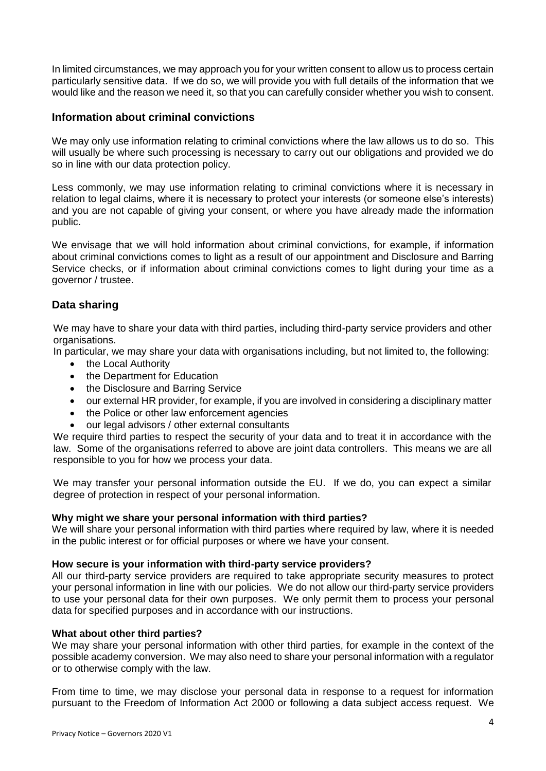In limited circumstances, we may approach you for your written consent to allow us to process certain particularly sensitive data. If we do so, we will provide you with full details of the information that we would like and the reason we need it, so that you can carefully consider whether you wish to consent.

## **Information about criminal convictions**

We may only use information relating to criminal convictions where the law allows us to do so. This will usually be where such processing is necessary to carry out our obligations and provided we do so in line with our data protection policy.

Less commonly, we may use information relating to criminal convictions where it is necessary in relation to legal claims, where it is necessary to protect your interests (or someone else's interests) and you are not capable of giving your consent, or where you have already made the information public.

We envisage that we will hold information about criminal convictions, for example, if information about criminal convictions comes to light as a result of our appointment and Disclosure and Barring Service checks, or if information about criminal convictions comes to light during your time as a governor / trustee.

# **Data sharing**

We may have to share your data with third parties, including third-party service providers and other organisations.

In particular, we may share your data with organisations including, but not limited to, the following:

- the Local Authority
- the Department for Education
- the Disclosure and Barring Service
- our external HR provider, for example, if you are involved in considering a disciplinary matter
- the Police or other law enforcement agencies
- our legal advisors / other external consultants

We require third parties to respect the security of your data and to treat it in accordance with the law. Some of the organisations referred to above are joint data controllers. This means we are all responsible to you for how we process your data.

We may transfer your personal information outside the EU. If we do, you can expect a similar degree of protection in respect of your personal information.

## **Why might we share your personal information with third parties?**

We will share your personal information with third parties where required by law, where it is needed in the public interest or for official purposes or where we have your consent.

## **How secure is your information with third-party service providers?**

All our third-party service providers are required to take appropriate security measures to protect your personal information in line with our policies. We do not allow our third-party service providers to use your personal data for their own purposes. We only permit them to process your personal data for specified purposes and in accordance with our instructions.

## **What about other third parties?**

We may share your personal information with other third parties, for example in the context of the possible academy conversion. We may also need to share your personal information with a regulator or to otherwise comply with the law.

From time to time, we may disclose your personal data in response to a request for information pursuant to the Freedom of Information Act 2000 or following a data subject access request. We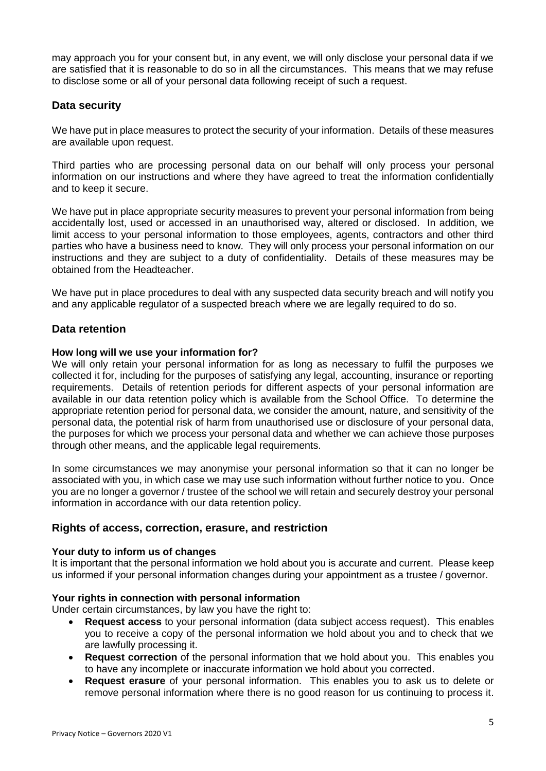may approach you for your consent but, in any event, we will only disclose your personal data if we are satisfied that it is reasonable to do so in all the circumstances. This means that we may refuse to disclose some or all of your personal data following receipt of such a request.

# **Data security**

We have put in place measures to protect the security of your information. Details of these measures are available upon request.

Third parties who are processing personal data on our behalf will only process your personal information on our instructions and where they have agreed to treat the information confidentially and to keep it secure.

We have put in place appropriate security measures to prevent your personal information from being accidentally lost, used or accessed in an unauthorised way, altered or disclosed. In addition, we limit access to your personal information to those employees, agents, contractors and other third parties who have a business need to know. They will only process your personal information on our instructions and they are subject to a duty of confidentiality. Details of these measures may be obtained from the Headteacher.

We have put in place procedures to deal with any suspected data security breach and will notify you and any applicable regulator of a suspected breach where we are legally required to do so.

# **Data retention**

## **How long will we use your information for?**

We will only retain your personal information for as long as necessary to fulfil the purposes we collected it for, including for the purposes of satisfying any legal, accounting, insurance or reporting requirements. Details of retention periods for different aspects of your personal information are available in our data retention policy which is available from the School Office. To determine the appropriate retention period for personal data, we consider the amount, nature, and sensitivity of the personal data, the potential risk of harm from unauthorised use or disclosure of your personal data, the purposes for which we process your personal data and whether we can achieve those purposes through other means, and the applicable legal requirements.

In some circumstances we may anonymise your personal information so that it can no longer be associated with you, in which case we may use such information without further notice to you. Once you are no longer a governor / trustee of the school we will retain and securely destroy your personal information in accordance with our data retention policy.

# **Rights of access, correction, erasure, and restriction**

## **Your duty to inform us of changes**

It is important that the personal information we hold about you is accurate and current. Please keep us informed if your personal information changes during your appointment as a trustee / governor.

## **Your rights in connection with personal information**

Under certain circumstances, by law you have the right to:

- **Request access** to your personal information (data subject access request). This enables you to receive a copy of the personal information we hold about you and to check that we are lawfully processing it.
- **Request correction** of the personal information that we hold about you. This enables you to have any incomplete or inaccurate information we hold about you corrected.
- **Request erasure** of your personal information. This enables you to ask us to delete or remove personal information where there is no good reason for us continuing to process it.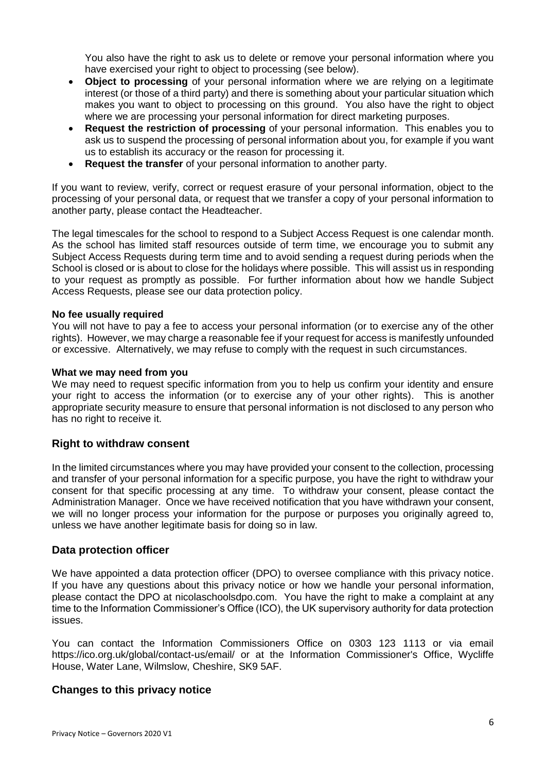You also have the right to ask us to delete or remove your personal information where you have exercised your right to object to processing (see below).

- **Object to processing** of your personal information where we are relying on a legitimate interest (or those of a third party) and there is something about your particular situation which makes you want to object to processing on this ground. You also have the right to object where we are processing your personal information for direct marketing purposes.
- **Request the restriction of processing** of your personal information. This enables you to ask us to suspend the processing of personal information about you, for example if you want us to establish its accuracy or the reason for processing it.
- **Request the transfer** of your personal information to another party.

If you want to review, verify, correct or request erasure of your personal information, object to the processing of your personal data, or request that we transfer a copy of your personal information to another party, please contact the Headteacher.

The legal timescales for the school to respond to a Subject Access Request is one calendar month. As the school has limited staff resources outside of term time, we encourage you to submit any Subject Access Requests during term time and to avoid sending a request during periods when the School is closed or is about to close for the holidays where possible. This will assist us in responding to your request as promptly as possible. For further information about how we handle Subject Access Requests, please see our data protection policy.

#### **No fee usually required**

You will not have to pay a fee to access your personal information (or to exercise any of the other rights). However, we may charge a reasonable fee if your request for access is manifestly unfounded or excessive. Alternatively, we may refuse to comply with the request in such circumstances.

#### **What we may need from you**

We may need to request specific information from you to help us confirm your identity and ensure your right to access the information (or to exercise any of your other rights). This is another appropriate security measure to ensure that personal information is not disclosed to any person who has no right to receive it.

## **Right to withdraw consent**

In the limited circumstances where you may have provided your consent to the collection, processing and transfer of your personal information for a specific purpose, you have the right to withdraw your consent for that specific processing at any time. To withdraw your consent, please contact the Administration Manager. Once we have received notification that you have withdrawn your consent, we will no longer process your information for the purpose or purposes you originally agreed to, unless we have another legitimate basis for doing so in law.

## **Data protection officer**

We have appointed a data protection officer (DPO) to oversee compliance with this privacy notice. If you have any questions about this privacy notice or how we handle your personal information, please contact the DPO at nicolaschoolsdpo.com. You have the right to make a complaint at any time to the Information Commissioner's Office (ICO), the UK supervisory authority for data protection issues.

You can contact the Information Commissioners Office on 0303 123 1113 or via email <https://ico.org.uk/global/contact-us/email/> or at the Information Commissioner's Office, Wycliffe House, Water Lane, Wilmslow, Cheshire, SK9 5AF.

# **Changes to this privacy notice**